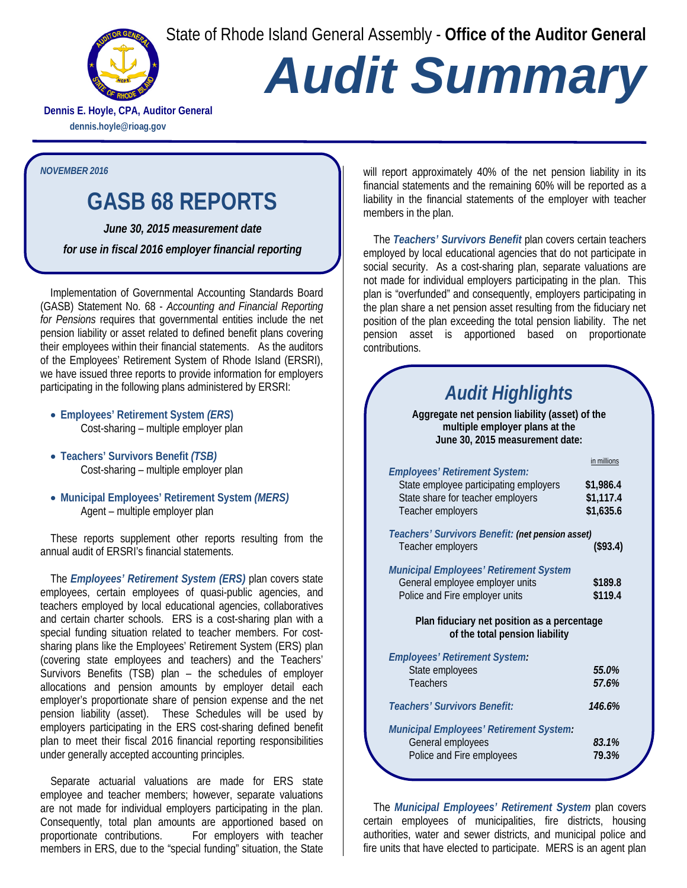State of Rhode Island General Assembly - **Office of the Auditor General**



## *Audit Summary*

**Dennis E. Hoyle, CPA, Auditor General dennis.hoyle@rioag.gov**

*NOVEMBER 2016*

## **GASB 68 REPORTS**

*June 30, 2015 measurement date for use in fiscal 2016 employer financial reporting* 

Implementation of Governmental Accounting Standards Board (GASB) Statement No. 68 - *Accounting and Financial Reporting for Pensions* requires that governmental entities include the net pension liability or asset related to defined benefit plans covering their employees within their financial statements. As the auditors of the Employees' Retirement System of Rhode Island (ERSRI), we have issued three reports to provide information for employers participating in the following plans administered by ERSRI:

- **Employees' Retirement System** *(ERS***)** Cost-sharing – multiple employer plan
- **Teachers' Survivors Benefit** *(TSB)* Cost-sharing – multiple employer plan
- **Municipal Employees' Retirement System** *(MERS)* Agent – multiple employer plan

These reports supplement other reports resulting from the annual audit of ERSRI's financial statements.

The *Employees' Retirement System (ERS)* plan covers state employees, certain employees of quasi-public agencies, and teachers employed by local educational agencies, collaboratives and certain charter schools. ERS is a cost-sharing plan with a special funding situation related to teacher members. For costsharing plans like the Employees' Retirement System (ERS) plan (covering state employees and teachers) and the Teachers' Survivors Benefits (TSB) plan – the schedules of employer allocations and pension amounts by employer detail each employer's proportionate share of pension expense and the net pension liability (asset). These Schedules will be used by employers participating in the ERS cost-sharing defined benefit plan to meet their fiscal 2016 financial reporting responsibilities under generally accepted accounting principles.

Separate actuarial valuations are made for ERS state employee and teacher members; however, separate valuations are not made for individual employers participating in the plan. Consequently, total plan amounts are apportioned based on proportionate contributions. For employers with teacher proportionate contributions. members in ERS, due to the "special funding" situation, the State

will report approximately 40% of the net pension liability in its financial statements and the remaining 60% will be reported as a liability in the financial statements of the employer with teacher members in the plan.

The *Teachers' Survivors Benefit* plan covers certain teachers employed by local educational agencies that do not participate in social security. As a cost-sharing plan, separate valuations are not made for individual employers participating in the plan. This plan is "overfunded" and consequently, employers participating in the plan share a net pension asset resulting from the fiduciary net position of the plan exceeding the total pension liability. The net pension asset is apportioned based on proportionate contributions.

## *Audit Highlights*

**Aggregate net pension liability (asset) of the multiple employer plans at the June 30, 2015 measurement date:**

| <b>Employees' Retirement System:</b>                                          | in millions |
|-------------------------------------------------------------------------------|-------------|
| State employee participating employers                                        | \$1,986.4   |
| State share for teacher employers                                             | \$1,117.4   |
| Teacher employers                                                             | \$1,635.6   |
| Teachers' Survivors Benefit: (net pension asset)                              |             |
| Teacher employers                                                             | (\$93.4)    |
| <b>Municipal Employees' Retirement System</b>                                 |             |
| General employee employer units                                               | \$189.8     |
| Police and Fire employer units                                                | \$119.4     |
| Plan fiduciary net position as a percentage<br>of the total pension liability |             |
| <b>Employees' Retirement System:</b>                                          |             |
| State employees                                                               | 55.0%       |
| <b>Teachers</b>                                                               | 57.6%       |
| Teachers' Survivors Benefit:                                                  | 146.6%      |
| <b>Municipal Employees' Retirement System:</b>                                |             |
| General employees                                                             | 83.1%       |
| Police and Fire employees                                                     | 79.3%       |
|                                                                               |             |

The *Municipal Employees' Retirement System* plan covers certain employees of municipalities, fire districts, housing authorities, water and sewer districts, and municipal police and fire units that have elected to participate. MERS is an agent plan